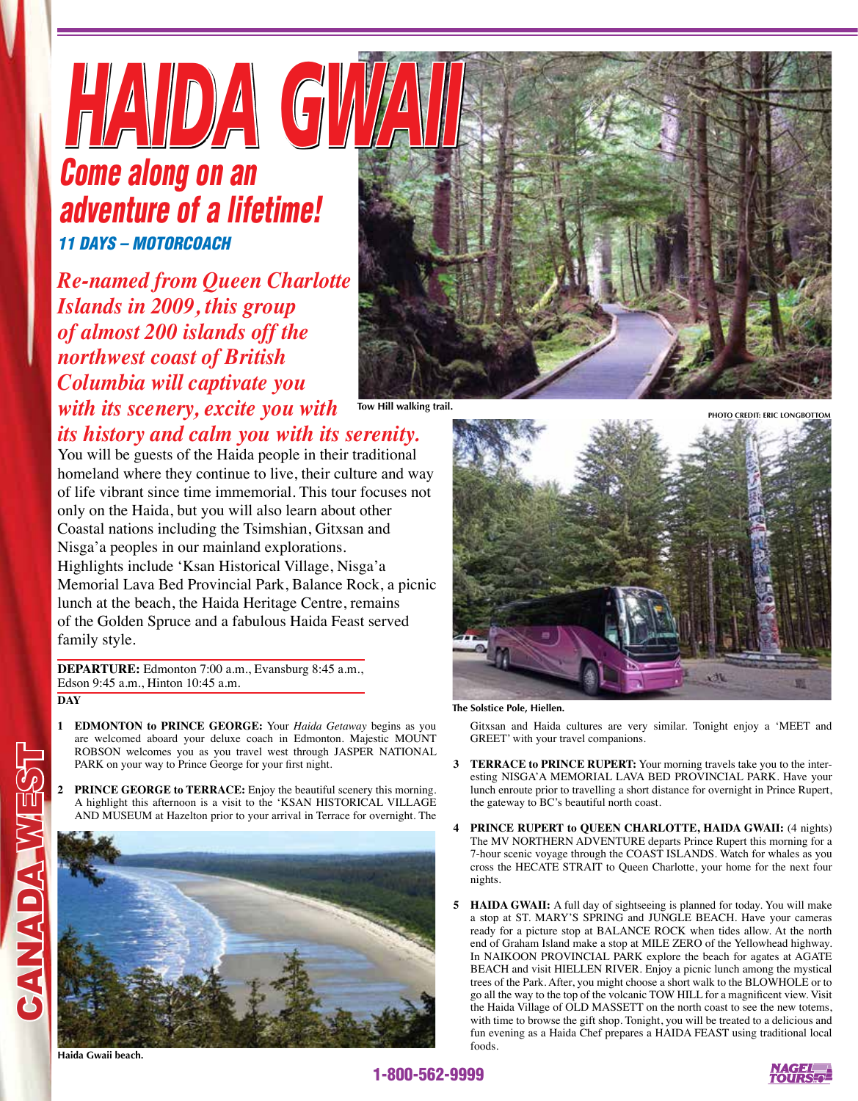## *HAIDA GWAII 11 DAYS – MOTORCOACH Come along on an adventure of a lifetime!*

*Re-named from Queen Charlotte Islands in 2009, this group of almost 200 islands off the northwest coast of British Columbia will captivate you with its scenery, excite you with* 



**Tow Hill walking trail.**

*its history and calm you with its serenity.* 

You will be guests of the Haida people in their traditional homeland where they continue to live, their culture and way of life vibrant since time immemorial. This tour focuses not only on the Haida, but you will also learn about other Coastal nations including the Tsimshian, Gitxsan and Nisga'a peoples in our mainland explorations. Highlights include 'Ksan Historical Village, Nisga'a Memorial Lava Bed Provincial Park, Balance Rock, a picnic lunch at the beach, the Haida Heritage Centre, remains of the Golden Spruce and a fabulous Haida Feast served family style.

**DEPARTURE:** Edmonton 7:00 a.m., Evansburg 8:45 a.m., Edson 9:45 a.m., Hinton 10:45 a.m.

**DAY**

CANADA WEST

**CANADA WASS** 

- **1 EDMONTON to PRINCE GEORGE:** Your *Haida Getaway* begins as you are welcomed aboard your deluxe coach in Edmonton. Majestic MOUNT ROBSON welcomes you as you travel west through JASPER NATIONAL PARK on your way to Prince George for your first night.
- **2 PRINCE GEORGE to TERRACE:** Enjoy the beautiful scenery this morning. A highlight this afternoon is a visit to the 'KSAN HISTORICAL VILLAGE AND MUSEUM at Hazelton prior to your arrival in Terrace for overnight. The



**Haida Gwaii beach.**



**The Solstice Pole, Hiellen.**

Gitxsan and Haida cultures are very similar. Tonight enjoy a 'MEET and GREET' with your travel companions.

- **3 TERRACE to PRINCE RUPERT:** Your morning travels take you to the interesting NISGA'A MEMORIAL LAVA BED PROVINCIAL PARK. Have your lunch enroute prior to travelling a short distance for overnight in Prince Rupert, the gateway to BC's beautiful north coast.
- **4 PRINCE RUPERT to QUEEN CHARLOTTE, HAIDA GWAII:** (4 nights) The MV NORTHERN ADVENTURE departs Prince Rupert this morning for a 7-hour scenic voyage through the COAST ISLANDS. Watch for whales as you cross the HECATE STRAIT to Queen Charlotte, your home for the next four nights.
- **5 HAIDA GWAII:** A full day of sightseeing is planned for today. You will make a stop at ST. MARY'S SPRING and JUNGLE BEACH. Have your cameras ready for a picture stop at BALANCE ROCK when tides allow. At the north end of Graham Island make a stop at MILE ZERO of the Yellowhead highway. In NAIKOON PROVINCIAL PARK explore the beach for agates at AGATE BEACH and visit HIELLEN RIVER. Enjoy a picnic lunch among the mystical trees of the Park. After, you might choose a short walk to the BLOWHOLE or to go all the way to the top of the volcanic TOW HILL for a magnificent view. Visit the Haida Village of OLD MASSETT on the north coast to see the new totems, with time to browse the gift shop. Tonight, you will be treated to a delicious and fun evening as a Haida Chef prepares a HAIDA FEAST using traditional local foods.